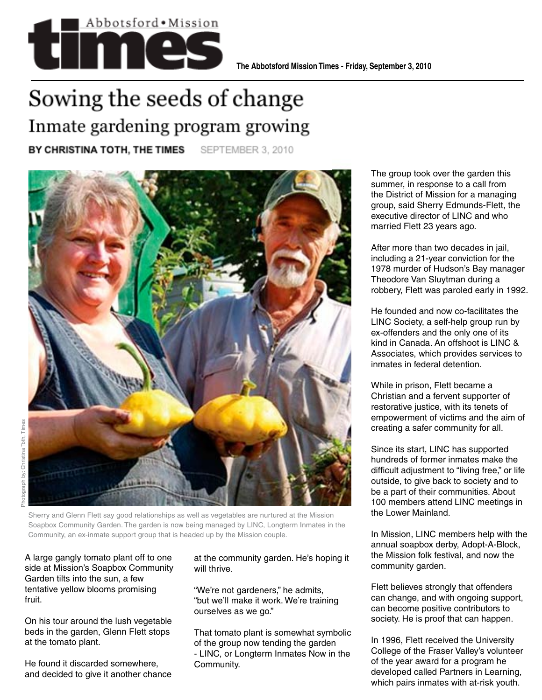

## Sowing the seeds of change Inmate gardening program growing

BY CHRISTINA TOTH, THE TIMES

SEPTEMBER 3, 2010



Sherry and Glenn Flett say good relationships as well as vegetables are nurtured at the Mission Soapbox Community Garden. The garden is now being managed by LINC, Longterm Inmates in the Community, an ex-inmate support group that is headed up by the Mission couple.

A large gangly tomato plant off to one side at Mission's Soapbox Community Garden tilts into the sun, a few tentative yellow blooms promising fruit.

On his tour around the lush vegetable beds in the garden, Glenn Flett stops at the tomato plant.

He found it discarded somewhere, and decided to give it another chance

at the community garden. He's hoping it will thrive.

"We're not gardeners," he admits, "but we'll make it work. We're training ourselves as we go."

That tomato plant is somewhat symbolic of the group now tending the garden - LINC, or Longterm Inmates Now in the Community.

The group took over the garden this summer, in response to a call from the District of Mission for a managing group, said Sherry Edmunds-Flett, the executive director of LINC and who married Flett 23 years ago.

After more than two decades in jail, including a 21-year conviction for the 1978 murder of Hudson's Bay manager Theodore Van Sluytman during a robbery, Flett was paroled early in 1992.

He founded and now co-facilitates the LINC Society, a self-help group run by ex-offenders and the only one of its kind in Canada. An offshoot is LINC & Associates, which provides services to inmates in federal detention.

While in prison, Flett became a Christian and a fervent supporter of restorative justice, with its tenets of empowerment of victims and the aim of creating a safer community for all.

Since its start, LINC has supported hundreds of former inmates make the difficult adjustment to "living free," or life outside, to give back to society and to be a part of their communities. About 100 members attend LINC meetings in the Lower Mainland.

In Mission, LINC members help with the annual soapbox derby, Adopt-A-Block, the Mission folk festival, and now the community garden.

Flett believes strongly that offenders can change, and with ongoing support, can become positive contributors to society. He is proof that can happen.

In 1996, Flett received the University College of the Fraser Valley's volunteer of the year award for a program he developed called Partners in Learning, which pairs inmates with at-risk youth.